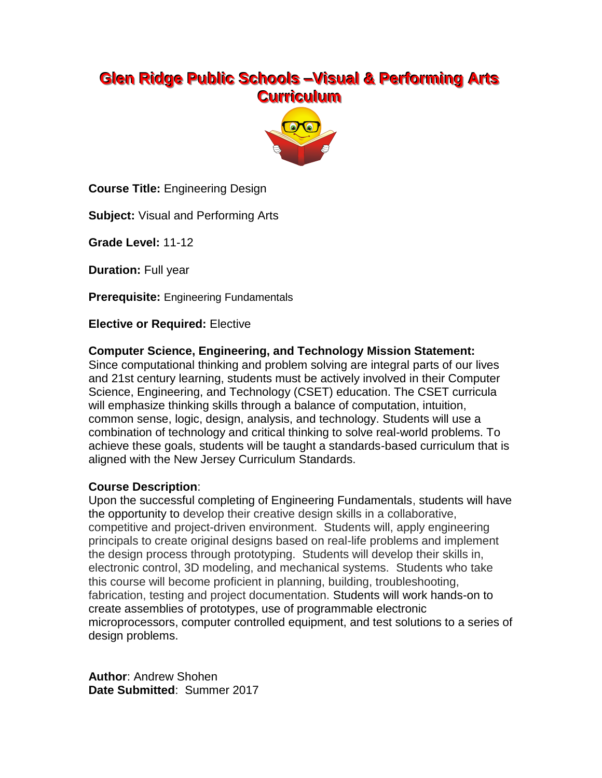# **Glen Ridge Public Schools –Visual & Performing Arts Curriculum**



**Course Title:** Engineering Design

**Subject:** Visual and Performing Arts

**Grade Level:** 11-12

**Duration:** Full year

**Prerequisite:** Engineering Fundamentals

**Elective or Required:** Elective

#### **Computer Science, Engineering, and Technology Mission Statement:**

Since computational thinking and problem solving are integral parts of our lives and 21st century learning, students must be actively involved in their Computer Science, Engineering, and Technology (CSET) education. The CSET curricula will emphasize thinking skills through a balance of computation, intuition, common sense, logic, design, analysis, and technology. Students will use a combination of technology and critical thinking to solve real-world problems. To achieve these goals, students will be taught a standards-based curriculum that is aligned with the New Jersey Curriculum Standards.

#### **Course Description**:

Upon the successful completing of Engineering Fundamentals, students will have the opportunity to develop their creative design skills in a collaborative, competitive and project-driven environment. Students will, apply engineering principals to create original designs based on real-life problems and implement the design process through prototyping. Students will develop their skills in, electronic control, 3D modeling, and mechanical systems. Students who take this course will become proficient in planning, building, troubleshooting, fabrication, testing and project documentation. Students will work hands-on to create assemblies of prototypes, use of programmable electronic microprocessors, computer controlled equipment, and test solutions to a series of design problems.

**Author**: Andrew Shohen **Date Submitted**: Summer 2017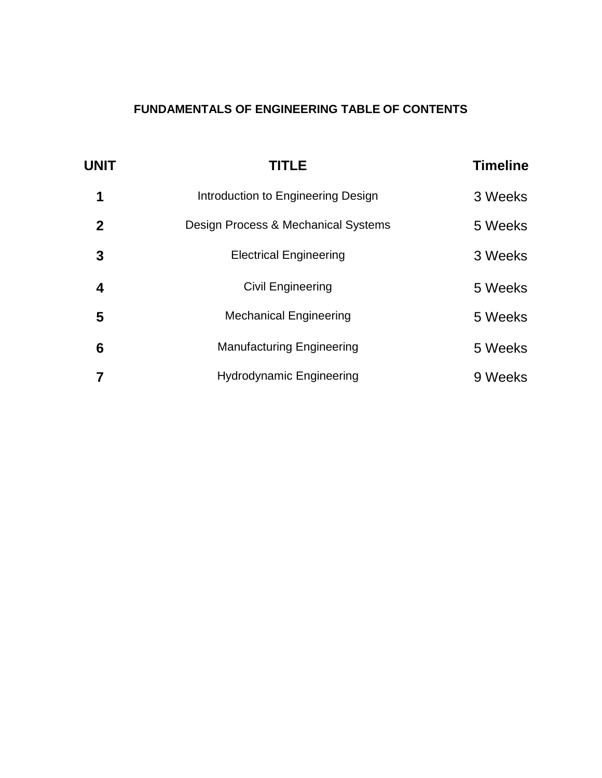# **FUNDAMENTALS OF ENGINEERING TABLE OF CONTENTS**

| <b>UNIT</b> | <b>TITLE</b>                        | <b>Timeline</b> |
|-------------|-------------------------------------|-----------------|
| 1           | Introduction to Engineering Design  | 3 Weeks         |
| $\mathbf 2$ | Design Process & Mechanical Systems | 5 Weeks         |
| 3           | <b>Electrical Engineering</b>       | 3 Weeks         |
| 4           | Civil Engineering                   | 5 Weeks         |
| 5           | <b>Mechanical Engineering</b>       | 5 Weeks         |
| 6           | <b>Manufacturing Engineering</b>    | 5 Weeks         |
|             | <b>Hydrodynamic Engineering</b>     | 9 Weeks         |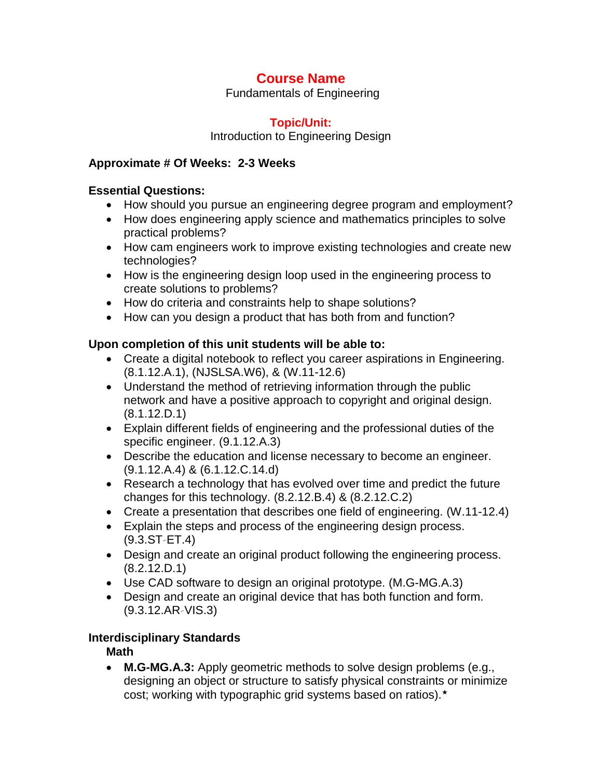Fundamentals of Engineering

### **Topic/Unit:**

Introduction to Engineering Design

#### **Approximate # Of Weeks: 2-3 Weeks**

#### **Essential Questions:**

- How should you pursue an engineering degree program and employment?
- How does engineering apply science and mathematics principles to solve practical problems?
- How cam engineers work to improve existing technologies and create new technologies?
- How is the engineering design loop used in the engineering process to create solutions to problems?
- How do criteria and constraints help to shape solutions?
- How can you design a product that has both from and function?

### **Upon completion of this unit students will be able to:**

- Create a digital notebook to reflect you career aspirations in Engineering. (8.1.12.A.1), (NJSLSA.W6), & (W.11-12.6)
- Understand the method of retrieving information through the public network and have a positive approach to copyright and original design. (8.1.12.D.1)
- Explain different fields of engineering and the professional duties of the specific engineer. (9.1.12.A.3)
- Describe the education and license necessary to become an engineer. (9.1.12.A.4) & (6.1.12.C.14.d)
- Research a technology that has evolved over time and predict the future changes for this technology. (8.2.12.B.4) & (8.2.12.C.2)
- Create a presentation that describes one field of engineering. (W.11-12.4)
- Explain the steps and process of the engineering design process.  $(9.3.ST - ET.4)$
- Design and create an original product following the engineering process. (8.2.12.D.1)
- Use CAD software to design an original prototype. (M.G-MG.A.3)
- Design and create an original device that has both function and form. (9.3.12.AR‐VIS.3)

### **Interdisciplinary Standards**

**Math**

 **M.G-MG.A.3:** Apply geometric methods to solve design problems (e.g., designing an object or structure to satisfy physical constraints or minimize cost; working with typographic grid systems based on ratios).★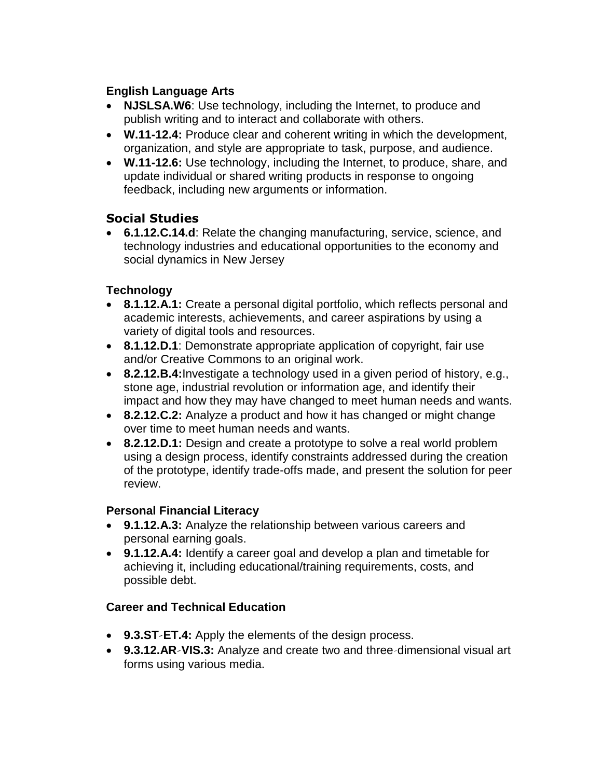### **English Language Arts**

- **NJSLSA.W6**: Use technology, including the Internet, to produce and publish writing and to interact and collaborate with others.
- **W.11-12.4:** Produce clear and coherent writing in which the development, organization, and style are appropriate to task, purpose, and audience.
- **W.11-12.6:** Use technology, including the Internet, to produce, share, and update individual or shared writing products in response to ongoing feedback, including new arguments or information.

# **Social Studies**

 **6.1.12.C.14.d**: Relate the changing manufacturing, service, science, and technology industries and educational opportunities to the economy and social dynamics in New Jersey

# **Technology**

- **8.1.12.A.1:** Create a personal digital portfolio, which reflects personal and academic interests, achievements, and career aspirations by using a variety of digital tools and resources.
- **8.1.12.D.1**: Demonstrate appropriate application of copyright, fair use and/or Creative Commons to an original work.
- **8.2.12.B.4:**Investigate a technology used in a given period of history, e.g., stone age, industrial revolution or information age, and identify their impact and how they may have changed to meet human needs and wants.
- **8.2.12.C.2:** Analyze a product and how it has changed or might change over time to meet human needs and wants.
- **8.2.12.D.1:** Design and create a prototype to solve a real world problem using a design process, identify constraints addressed during the creation of the prototype, identify trade-offs made, and present the solution for peer review.

# **Personal Financial Literacy**

- **9.1.12.A.3:** Analyze the relationship between various careers and personal earning goals.
- **9.1.12.A.4:** Identify a career goal and develop a plan and timetable for achieving it, including educational/training requirements, costs, and possible debt.

# **Career and Technical Education**

- **9.3.ST‐ET.4:** Apply the elements of the design process.
- **9.3.12.AR‐VIS.3:** Analyze and create two and three‐dimensional visual art forms using various media.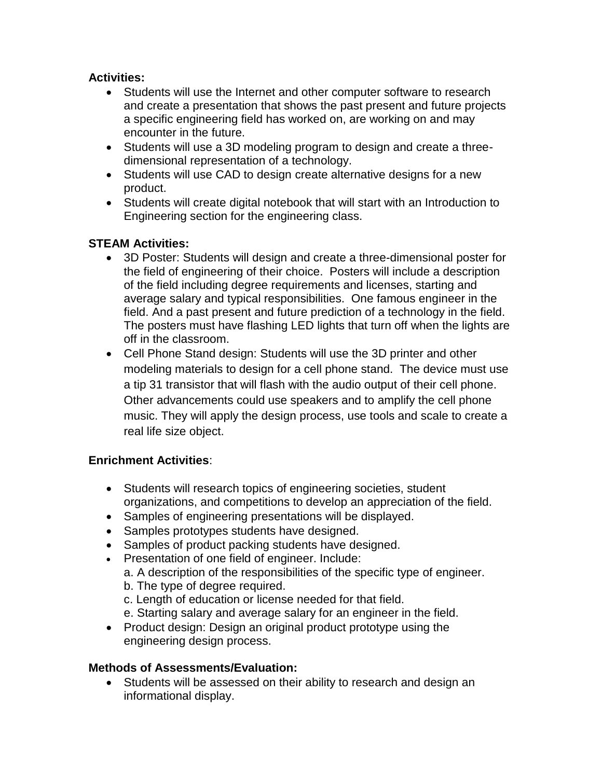### **Activities:**

- Students will use the Internet and other computer software to research and create a presentation that shows the past present and future projects a specific engineering field has worked on, are working on and may encounter in the future.
- Students will use a 3D modeling program to design and create a threedimensional representation of a technology.
- Students will use CAD to design create alternative designs for a new product.
- Students will create digital notebook that will start with an Introduction to Engineering section for the engineering class.

#### **STEAM Activities:**

- 3D Poster: Students will design and create a three-dimensional poster for the field of engineering of their choice. Posters will include a description of the field including degree requirements and licenses, starting and average salary and typical responsibilities. One famous engineer in the field. And a past present and future prediction of a technology in the field. The posters must have flashing LED lights that turn off when the lights are off in the classroom.
- Cell Phone Stand design: Students will use the 3D printer and other modeling materials to design for a cell phone stand. The device must use a tip 31 transistor that will flash with the audio output of their cell phone. Other advancements could use speakers and to amplify the cell phone music. They will apply the design process, use tools and scale to create a real life size object.

### **Enrichment Activities**:

- Students will research topics of engineering societies, student organizations, and competitions to develop an appreciation of the field.
- Samples of engineering presentations will be displayed.
- Samples prototypes students have designed.
- Samples of product packing students have designed.
- Presentation of one field of engineer. Include:
	- a. A description of the responsibilities of the specific type of engineer.
	- b. The type of degree required.
	- c. Length of education or license needed for that field.
	- e. Starting salary and average salary for an engineer in the field.
- Product design: Design an original product prototype using the engineering design process.

#### **Methods of Assessments/Evaluation:**

 Students will be assessed on their ability to research and design an informational display.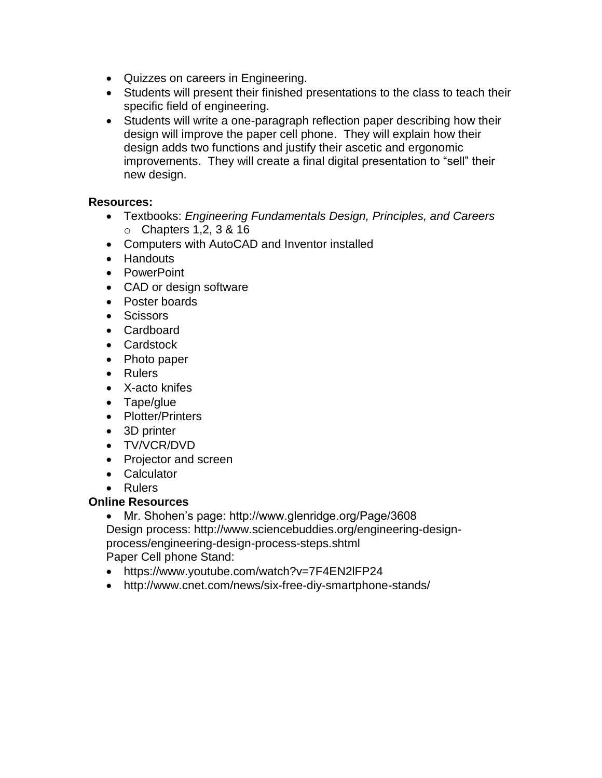- Quizzes on careers in Engineering.
- Students will present their finished presentations to the class to teach their specific field of engineering.
- Students will write a one-paragraph reflection paper describing how their design will improve the paper cell phone. They will explain how their design adds two functions and justify their ascetic and ergonomic improvements. They will create a final digital presentation to "sell" their new design.

#### **Resources:**

- Textbooks: *Engineering Fundamentals Design, Principles, and Careers* o Chapters 1,2, 3 & 16
- Computers with AutoCAD and Inventor installed
- Handouts
- PowerPoint
- CAD or design software
- Poster boards
- **•** Scissors
- Cardboard
- Cardstock
- Photo paper
- Rulers
- X-acto knifes
- Tape/glue
- Plotter/Printers
- 3D printer
- TV/VCR/DVD
- Projector and screen
- Calculator
- Rulers

#### **Online Resources**

- Mr. Shohen's page: http://www.glenridge.org/Page/3608 Design process: http://www.sciencebuddies.org/engineering-designprocess/engineering-design-process-steps.shtml Paper Cell phone Stand:
- https://www.youtube.com/watch?v=7F4EN2lFP24
- http://www.cnet.com/news/six-free-diy-smartphone-stands/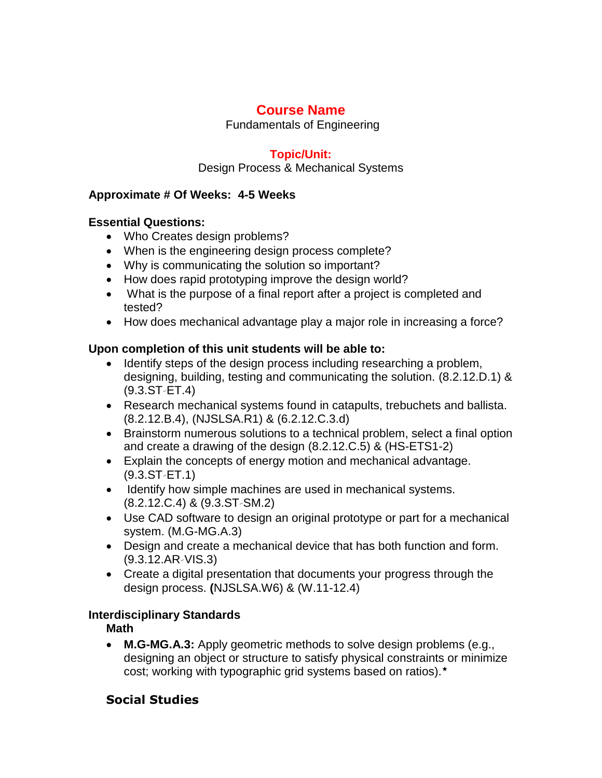Fundamentals of Engineering

## **Topic/Unit:**

Design Process & Mechanical Systems

## **Approximate # Of Weeks: 4-5 Weeks**

### **Essential Questions:**

- Who Creates design problems?
- When is the engineering design process complete?
- Why is communicating the solution so important?
- How does rapid prototyping improve the design world?
- What is the purpose of a final report after a project is completed and tested?
- How does mechanical advantage play a major role in increasing a force?

## **Upon completion of this unit students will be able to:**

- Identify steps of the design process including researching a problem, designing, building, testing and communicating the solution. (8.2.12.D.1) &  $(9.3.ST - ET.4)$
- Research mechanical systems found in catapults, trebuchets and ballista. (8.2.12.B.4), (NJSLSA.R1) & (6.2.12.C.3.d)
- Brainstorm numerous solutions to a technical problem, select a final option and create a drawing of the design (8.2.12.C.5) & (HS-ETS1-2)
- Explain the concepts of energy motion and mechanical advantage.  $(9.3.ST - ET.1)$
- Identify how simple machines are used in mechanical systems. (8.2.12.C.4) & (9.3.ST‐SM.2)
- Use CAD software to design an original prototype or part for a mechanical system. (M.G-MG.A.3)
- Design and create a mechanical device that has both function and form. (9.3.12.AR‐VIS.3)
- Create a digital presentation that documents your progress through the design process. **(**NJSLSA.W6) & (W.11-12.4)

# **Interdisciplinary Standards**

**Math**

 **M.G-MG.A.3:** Apply geometric methods to solve design problems (e.g., designing an object or structure to satisfy physical constraints or minimize cost; working with typographic grid systems based on ratios).★

# **Social Studies**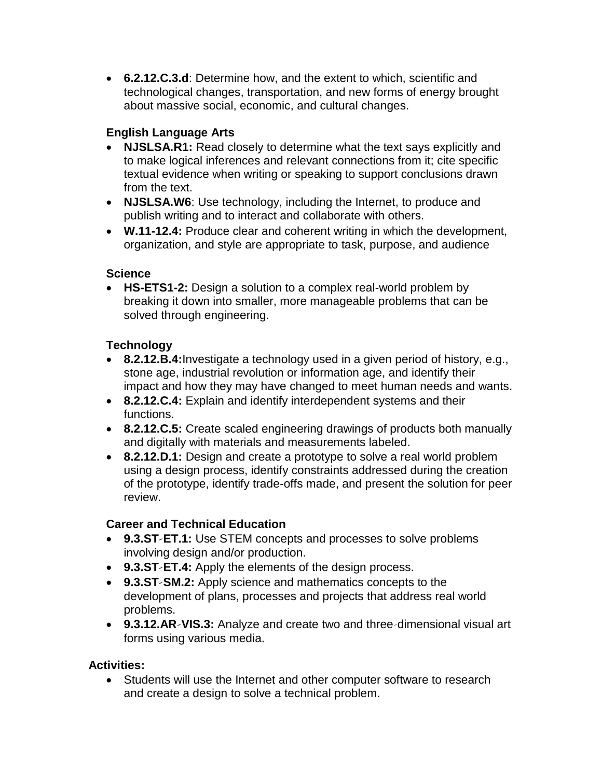**6.2.12.C.3.d**: Determine how, and the extent to which, scientific and technological changes, transportation, and new forms of energy brought about massive social, economic, and cultural changes.

# **English Language Arts**

- **NJSLSA.R1:** Read closely to determine what the text says explicitly and to make logical inferences and relevant connections from it; cite specific textual evidence when writing or speaking to support conclusions drawn from the text.
- **NJSLSA.W6**: Use technology, including the Internet, to produce and publish writing and to interact and collaborate with others.
- **W.11-12.4:** Produce clear and coherent writing in which the development, organization, and style are appropriate to task, purpose, and audience

# **Science**

 **HS-ETS1-2:** Design a solution to a complex real-world problem by breaking it down into smaller, more manageable problems that can be solved through engineering.

# **Technology**

- **8.2.12.B.4:**Investigate a technology used in a given period of history, e.g., stone age, industrial revolution or information age, and identify their impact and how they may have changed to meet human needs and wants.
- **8.2.12.C.4:** Explain and identify interdependent systems and their functions.
- **8.2.12.C.5:** Create scaled engineering drawings of products both manually and digitally with materials and measurements labeled.
- **8.2.12.D.1:** Design and create a prototype to solve a real world problem using a design process, identify constraints addressed during the creation of the prototype, identify trade-offs made, and present the solution for peer review.

# **Career and Technical Education**

- **9.3.ST‐ET.1:** Use STEM concepts and processes to solve problems involving design and/or production.
- **9.3.ST‐ET.4:** Apply the elements of the design process.
- **9.3.ST‐SM.2:** Apply science and mathematics concepts to the development of plans, processes and projects that address real world problems.
- **9.3.12.AR‐VIS.3:** Analyze and create two and three‐dimensional visual art forms using various media.

### **Activities:**

 Students will use the Internet and other computer software to research and create a design to solve a technical problem.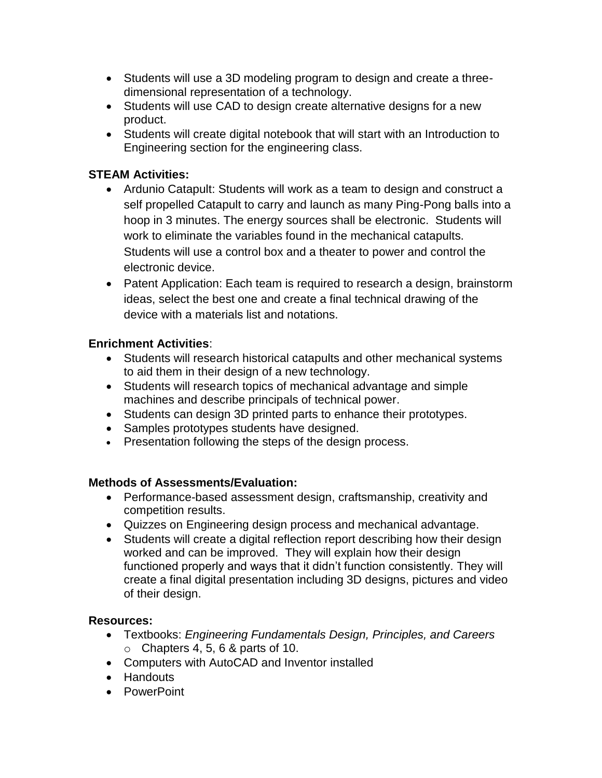- Students will use a 3D modeling program to design and create a threedimensional representation of a technology.
- Students will use CAD to design create alternative designs for a new product.
- Students will create digital notebook that will start with an Introduction to Engineering section for the engineering class.

## **STEAM Activities:**

- Ardunio Catapult: Students will work as a team to design and construct a self propelled Catapult to carry and launch as many Ping-Pong balls into a hoop in 3 minutes. The energy sources shall be electronic. Students will work to eliminate the variables found in the mechanical catapults. Students will use a control box and a theater to power and control the electronic device.
- Patent Application: Each team is required to research a design, brainstorm ideas, select the best one and create a final technical drawing of the device with a materials list and notations.

### **Enrichment Activities**:

- Students will research historical catapults and other mechanical systems to aid them in their design of a new technology.
- Students will research topics of mechanical advantage and simple machines and describe principals of technical power.
- Students can design 3D printed parts to enhance their prototypes.
- Samples prototypes students have designed.
- Presentation following the steps of the design process.

#### **Methods of Assessments/Evaluation:**

- Performance-based assessment design, craftsmanship, creativity and competition results.
- Quizzes on Engineering design process and mechanical advantage.
- Students will create a digital reflection report describing how their design worked and can be improved. They will explain how their design functioned properly and ways that it didn't function consistently. They will create a final digital presentation including 3D designs, pictures and video of their design.

#### **Resources:**

- Textbooks: *Engineering Fundamentals Design, Principles, and Careers*  $\circ$  Chapters 4, 5, 6 & parts of 10.
- Computers with AutoCAD and Inventor installed
- Handouts
- PowerPoint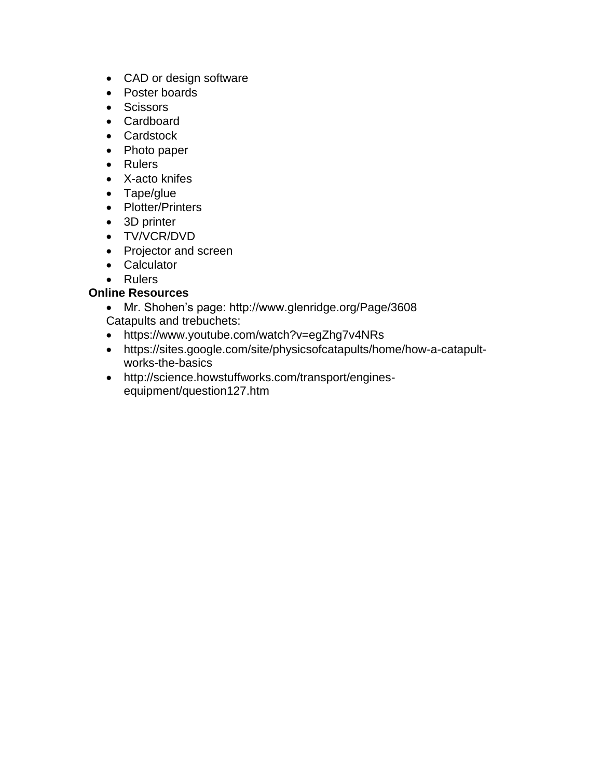- CAD or design software
- Poster boards
- Scissors
- Cardboard
- Cardstock
- Photo paper
- Rulers
- X-acto knifes
- Tape/glue
- Plotter/Printers
- 3D printer
- TV/VCR/DVD
- Projector and screen
- Calculator
- Rulers

#### **Online Resources**

- Mr. Shohen's page: http://www.glenridge.org/Page/3608 Catapults and trebuchets:
- https://www.youtube.com/watch?v=egZhg7v4NRs
- https://sites.google.com/site/physicsofcatapults/home/how-a-catapultworks-the-basics
- http://science.howstuffworks.com/transport/enginesequipment/question127.htm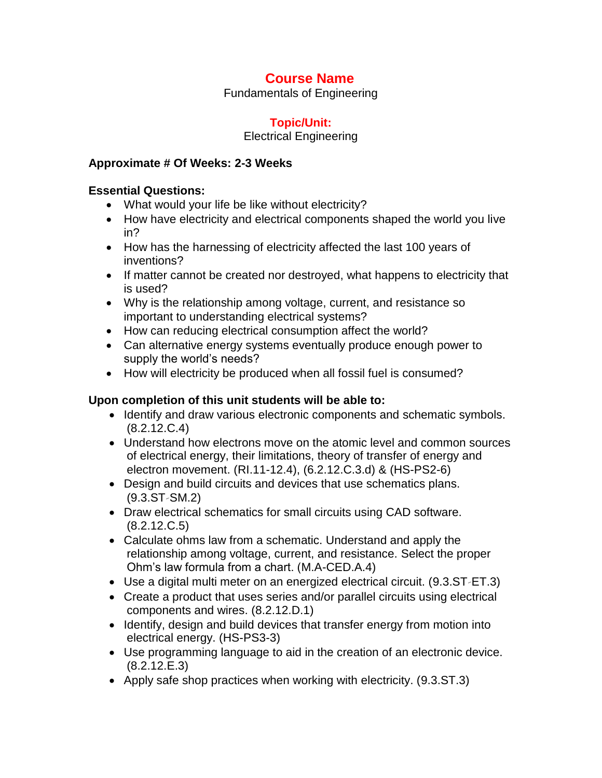Fundamentals of Engineering

# **Topic/Unit:**

#### Electrical Engineering

#### **Approximate # Of Weeks: 2-3 Weeks**

#### **Essential Questions:**

- What would your life be like without electricity?
- How have electricity and electrical components shaped the world you live in?
- How has the harnessing of electricity affected the last 100 years of inventions?
- If matter cannot be created nor destroyed, what happens to electricity that is used?
- Why is the relationship among voltage, current, and resistance so important to understanding electrical systems?
- How can reducing electrical consumption affect the world?
- Can alternative energy systems eventually produce enough power to supply the world's needs?
- How will electricity be produced when all fossil fuel is consumed?

### **Upon completion of this unit students will be able to:**

- Identify and draw various electronic components and schematic symbols. (8.2.12.C.4)
- Understand how electrons move on the atomic level and common sources of electrical energy, their limitations, theory of transfer of energy and electron movement. (RI.11-12.4), (6.2.12.C.3.d) & (HS-PS2-6)
- Design and build circuits and devices that use schematics plans.  $(9.3.ST-SM.2)$
- Draw electrical schematics for small circuits using CAD software. (8.2.12.C.5)
- Calculate ohms law from a schematic. Understand and apply the relationship among voltage, current, and resistance. Select the proper Ohm's law formula from a chart. (M.A-CED.A.4)
- Use a digital multi meter on an energized electrical circuit. (9.3.ST‐ET.3)
- Create a product that uses series and/or parallel circuits using electrical components and wires. (8.2.12.D.1)
- Identify, design and build devices that transfer energy from motion into electrical energy. (HS-PS3-3)
- Use programming language to aid in the creation of an electronic device. (8.2.12.E.3)
- Apply safe shop practices when working with electricity. (9.3.ST.3)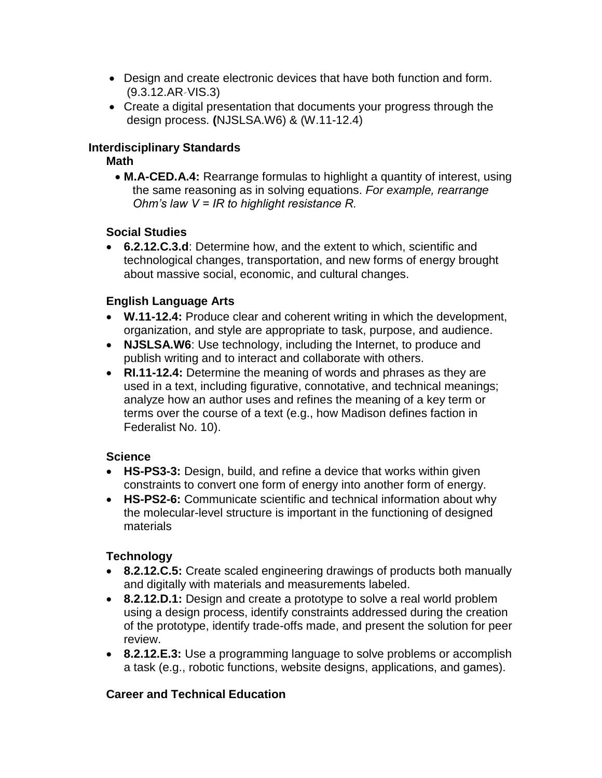- Design and create electronic devices that have both function and form. (9.3.12.AR‐VIS.3)
- Create a digital presentation that documents your progress through the design process. **(**NJSLSA.W6) & (W.11-12.4)

### **Interdisciplinary Standards**

## **Math**

 **M.A-CED.A.4:** Rearrange formulas to highlight a quantity of interest, using the same reasoning as in solving equations. *For example, rearrange Ohm's law V = IR to highlight resistance R.*

## **Social Studies**

 **6.2.12.C.3.d**: Determine how, and the extent to which, scientific and technological changes, transportation, and new forms of energy brought about massive social, economic, and cultural changes.

## **English Language Arts**

- **W.11-12.4:** Produce clear and coherent writing in which the development, organization, and style are appropriate to task, purpose, and audience.
- **NJSLSA.W6**: Use technology, including the Internet, to produce and publish writing and to interact and collaborate with others.
- **RI.11-12.4:** Determine the meaning of words and phrases as they are used in a text, including figurative, connotative, and technical meanings; analyze how an author uses and refines the meaning of a key term or terms over the course of a text (e.g., how Madison defines faction in Federalist No. 10).

### **Science**

- **HS-PS3-3:** Design, build, and refine a device that works within given constraints to convert one form of energy into another form of energy.
- **HS-PS2-6:** Communicate scientific and technical information about why the molecular-level structure is important in the functioning of designed materials

# **Technology**

- **8.2.12.C.5:** Create scaled engineering drawings of products both manually and digitally with materials and measurements labeled.
- **8.2.12.D.1:** Design and create a prototype to solve a real world problem using a design process, identify constraints addressed during the creation of the prototype, identify trade-offs made, and present the solution for peer review.
- **8.2.12.E.3:** Use a programming language to solve problems or accomplish a task (e.g., robotic functions, website designs, applications, and games).

# **Career and Technical Education**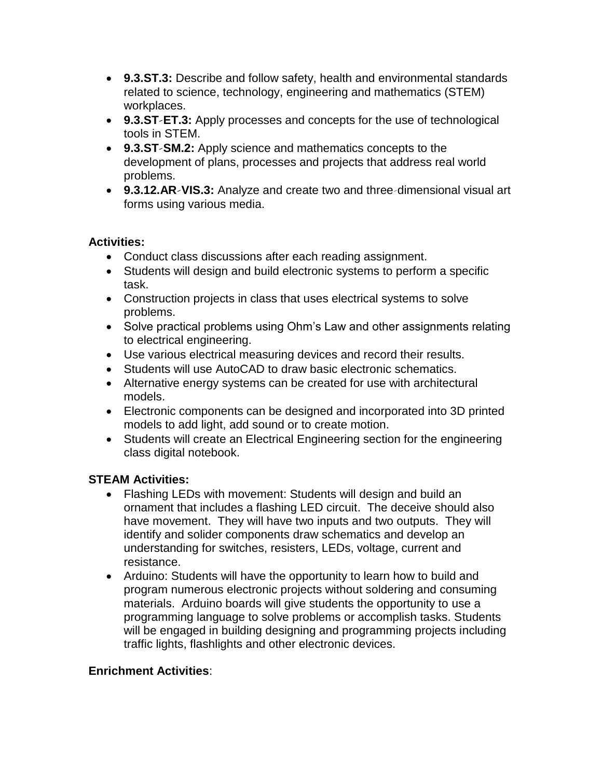- **9.3.ST.3:** Describe and follow safety, health and environmental standards related to science, technology, engineering and mathematics (STEM) workplaces.
- **9.3.ST‐ET.3:** Apply processes and concepts for the use of technological tools in STEM.
- **9.3.ST‐SM.2:** Apply science and mathematics concepts to the development of plans, processes and projects that address real world problems.
- **9.3.12.AR‐VIS.3:** Analyze and create two and three‐dimensional visual art forms using various media.

#### **Activities:**

- Conduct class discussions after each reading assignment.
- Students will design and build electronic systems to perform a specific task.
- Construction projects in class that uses electrical systems to solve problems.
- Solve practical problems using Ohm's Law and other assignments relating to electrical engineering.
- Use various electrical measuring devices and record their results.
- Students will use AutoCAD to draw basic electronic schematics.
- Alternative energy systems can be created for use with architectural models.
- Electronic components can be designed and incorporated into 3D printed models to add light, add sound or to create motion.
- Students will create an Electrical Engineering section for the engineering class digital notebook.

### **STEAM Activities:**

- Flashing LEDs with movement: Students will design and build an ornament that includes a flashing LED circuit. The deceive should also have movement. They will have two inputs and two outputs. They will identify and solider components draw schematics and develop an understanding for switches, resisters, LEDs, voltage, current and resistance.
- Arduino: Students will have the opportunity to learn how to build and program numerous electronic projects without soldering and consuming materials. Arduino boards will give students the opportunity to use a programming language to solve problems or accomplish tasks. Students will be engaged in building designing and programming projects including traffic lights, flashlights and other electronic devices.

### **Enrichment Activities**: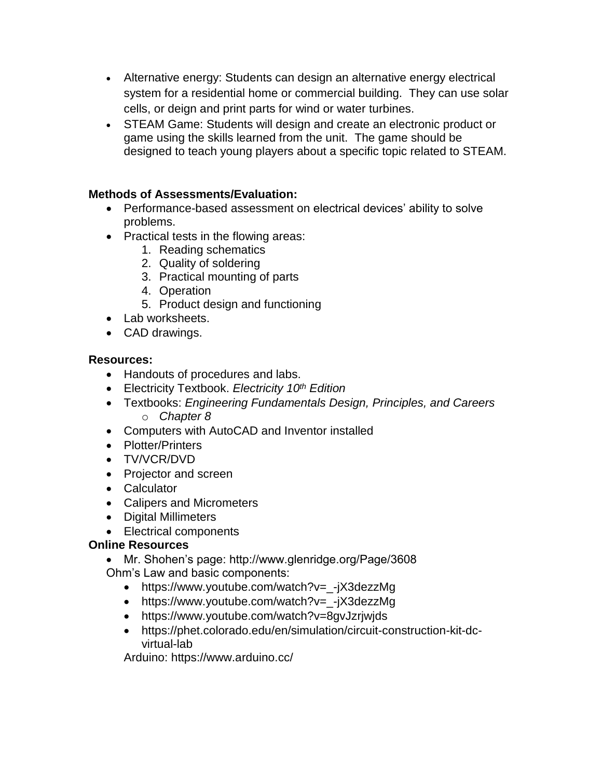- Alternative energy: Students can design an alternative energy electrical system for a residential home or commercial building. They can use solar cells, or deign and print parts for wind or water turbines.
- STEAM Game: Students will design and create an electronic product or game using the skills learned from the unit. The game should be designed to teach young players about a specific topic related to STEAM.

### **Methods of Assessments/Evaluation:**

- Performance-based assessment on electrical devices' ability to solve problems.
- Practical tests in the flowing areas:
	- 1. Reading schematics
	- 2. Quality of soldering
	- 3. Practical mounting of parts
	- 4. Operation
	- 5. Product design and functioning
- Lab worksheets.
- CAD drawings.

### **Resources:**

- Handouts of procedures and labs.
- Electricity Textbook. *Electricity 10th Edition*
- Textbooks: *Engineering Fundamentals Design, Principles, and Careers* o *Chapter 8*
- Computers with AutoCAD and Inventor installed
- Plotter/Printers
- TV/VCR/DVD
- Projector and screen
- Calculator
- Calipers and Micrometers
- Digital Millimeters
- Electrical components

# **Online Resources**

- Mr. Shohen's page: http://www.glenridge.org/Page/3608 Ohm's Law and basic components:
	- https://www.youtube.com/watch?v=\_-jX3dezzMg
	- https://www.youtube.com/watch?v=\_-jX3dezzMg
	- https://www.youtube.com/watch?v=8gvJzrjwjds
	- https://phet.colorado.edu/en/simulation/circuit-construction-kit-dcvirtual-lab

Arduino: https://www.arduino.cc/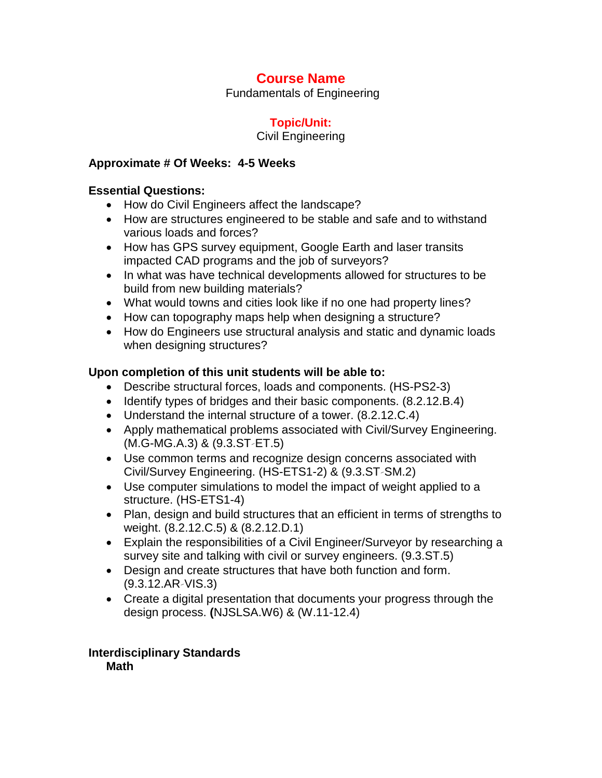Fundamentals of Engineering

# **Topic/Unit:**

#### Civil Engineering

#### **Approximate # Of Weeks: 4-5 Weeks**

#### **Essential Questions:**

- How do Civil Engineers affect the landscape?
- How are structures engineered to be stable and safe and to withstand various loads and forces?
- How has GPS survey equipment, Google Earth and laser transits impacted CAD programs and the job of surveyors?
- In what was have technical developments allowed for structures to be build from new building materials?
- What would towns and cities look like if no one had property lines?
- How can topography maps help when designing a structure?
- How do Engineers use structural analysis and static and dynamic loads when designing structures?

#### **Upon completion of this unit students will be able to:**

- Describe structural forces, loads and components. (HS-PS2-3)
- Identify types of bridges and their basic components. (8.2.12.B.4)
- Understand the internal structure of a tower. (8.2.12.C.4)
- Apply mathematical problems associated with Civil/Survey Engineering. (M.G-MG.A.3) & (9.3.ST‐ET.5)
- Use common terms and recognize design concerns associated with Civil/Survey Engineering. (HS-ETS1-2) & (9.3.ST‐SM.2)
- Use computer simulations to model the impact of weight applied to a structure. (HS-ETS1-4)
- Plan, design and build structures that an efficient in terms of strengths to weight. (8.2.12.C.5) & (8.2.12.D.1)
- Explain the responsibilities of a Civil Engineer/Surveyor by researching a survey site and talking with civil or survey engineers. (9.3.ST.5)
- Design and create structures that have both function and form. (9.3.12.AR‐VIS.3)
- Create a digital presentation that documents your progress through the design process. **(**NJSLSA.W6) & (W.11-12.4)

**Interdisciplinary Standards Math**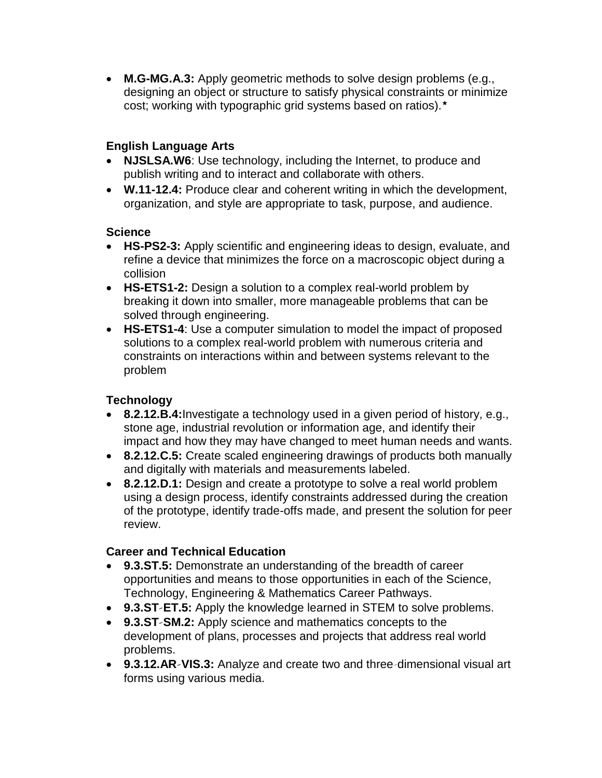**M.G-MG.A.3:** Apply geometric methods to solve design problems (e.g., designing an object or structure to satisfy physical constraints or minimize cost; working with typographic grid systems based on ratios).★

# **English Language Arts**

- **NJSLSA.W6**: Use technology, including the Internet, to produce and publish writing and to interact and collaborate with others.
- **W.11-12.4:** Produce clear and coherent writing in which the development, organization, and style are appropriate to task, purpose, and audience.

#### **Science**

- **HS-PS2-3:** Apply scientific and engineering ideas to design, evaluate, and refine a device that minimizes the force on a macroscopic object during a collision
- **HS-ETS1-2:** Design a solution to a complex real-world problem by breaking it down into smaller, more manageable problems that can be solved through engineering.
- **HS-ETS1-4**: Use a computer simulation to model the impact of proposed solutions to a complex real-world problem with numerous criteria and constraints on interactions within and between systems relevant to the problem

### **Technology**

- **8.2.12.B.4:**Investigate a technology used in a given period of history, e.g., stone age, industrial revolution or information age, and identify their impact and how they may have changed to meet human needs and wants.
- **8.2.12.C.5:** Create scaled engineering drawings of products both manually and digitally with materials and measurements labeled.
- **8.2.12.D.1:** Design and create a prototype to solve a real world problem using a design process, identify constraints addressed during the creation of the prototype, identify trade-offs made, and present the solution for peer review.

### **Career and Technical Education**

- **9.3.ST.5:** Demonstrate an understanding of the breadth of career opportunities and means to those opportunities in each of the Science, Technology, Engineering & Mathematics Career Pathways.
- **9.3.ST‐ET.5:** Apply the knowledge learned in STEM to solve problems.
- **9.3.ST‐SM.2:** Apply science and mathematics concepts to the development of plans, processes and projects that address real world problems.
- **9.3.12.AR‐VIS.3:** Analyze and create two and three‐dimensional visual art forms using various media.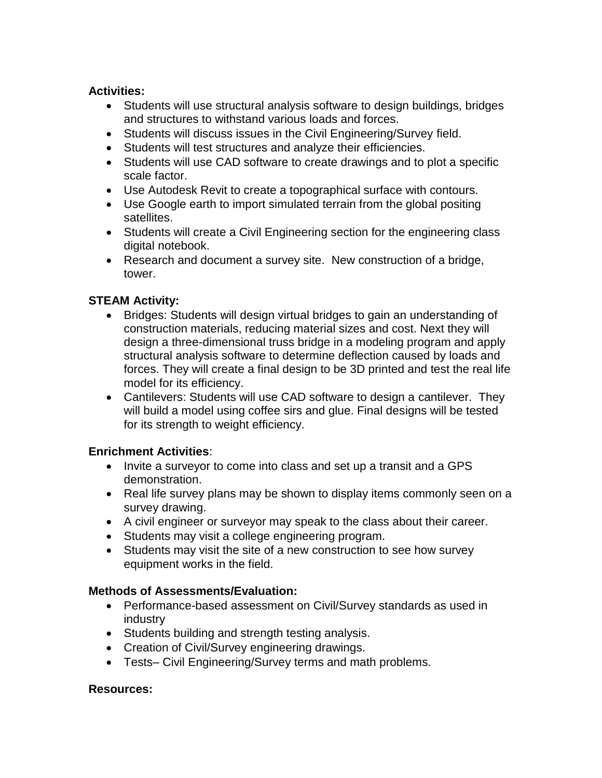#### **Activities:**

- Students will use structural analysis software to design buildings, bridges and structures to withstand various loads and forces.
- Students will discuss issues in the Civil Engineering/Survey field.
- Students will test structures and analyze their efficiencies.
- Students will use CAD software to create drawings and to plot a specific scale factor.
- Use Autodesk Revit to create a topographical surface with contours.
- Use Google earth to import simulated terrain from the global positing satellites.
- Students will create a Civil Engineering section for the engineering class digital notebook.
- Research and document a survey site. New construction of a bridge, tower.

### **STEAM Activity:**

- Bridges: Students will design virtual bridges to gain an understanding of construction materials, reducing material sizes and cost. Next they will design a three-dimensional truss bridge in a modeling program and apply structural analysis software to determine deflection caused by loads and forces. They will create a final design to be 3D printed and test the real life model for its efficiency.
- Cantilevers: Students will use CAD software to design a cantilever. They will build a model using coffee sirs and glue. Final designs will be tested for its strength to weight efficiency.

#### **Enrichment Activities**:

- Invite a surveyor to come into class and set up a transit and a GPS demonstration.
- Real life survey plans may be shown to display items commonly seen on a survey drawing.
- A civil engineer or surveyor may speak to the class about their career.
- Students may visit a college engineering program.
- Students may visit the site of a new construction to see how survey equipment works in the field.

### **Methods of Assessments/Evaluation:**

- Performance-based assessment on Civil/Survey standards as used in industry
- Students building and strength testing analysis.
- Creation of Civil/Survey engineering drawings.
- Tests– Civil Engineering/Survey terms and math problems.

#### **Resources:**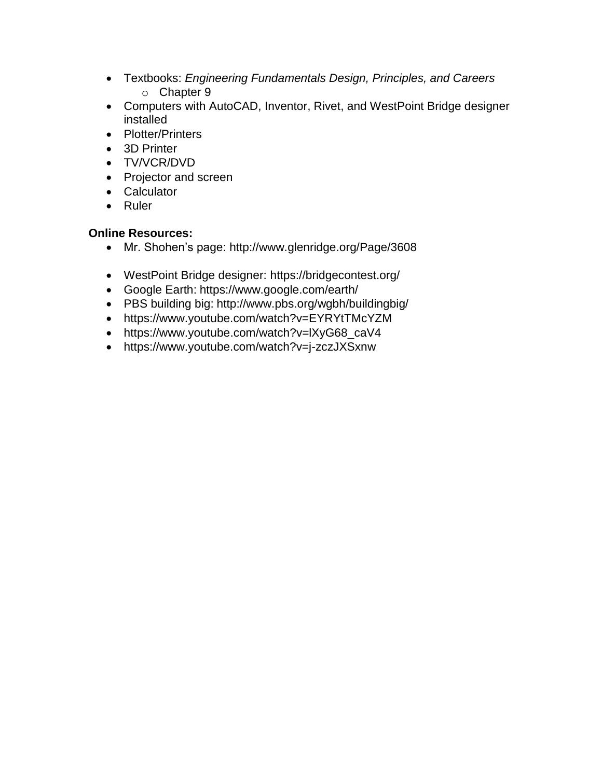- Textbooks: *Engineering Fundamentals Design, Principles, and Careers* o Chapter 9
- Computers with AutoCAD, Inventor, Rivet, and WestPoint Bridge designer installed
- Plotter/Printers
- 3D Printer
- TV/VCR/DVD
- Projector and screen
- Calculator
- Ruler

### **Online Resources:**

- Mr. Shohen's page: http://www.glenridge.org/Page/3608
- WestPoint Bridge designer: https://bridgecontest.org/
- Google Earth: https://www.google.com/earth/
- PBS building big: http://www.pbs.org/wgbh/buildingbig/
- https://www.youtube.com/watch?v=EYRYtTMcYZM
- https://www.youtube.com/watch?v=lXyG68\_caV4
- https://www.youtube.com/watch?v=j-zczJXSxnw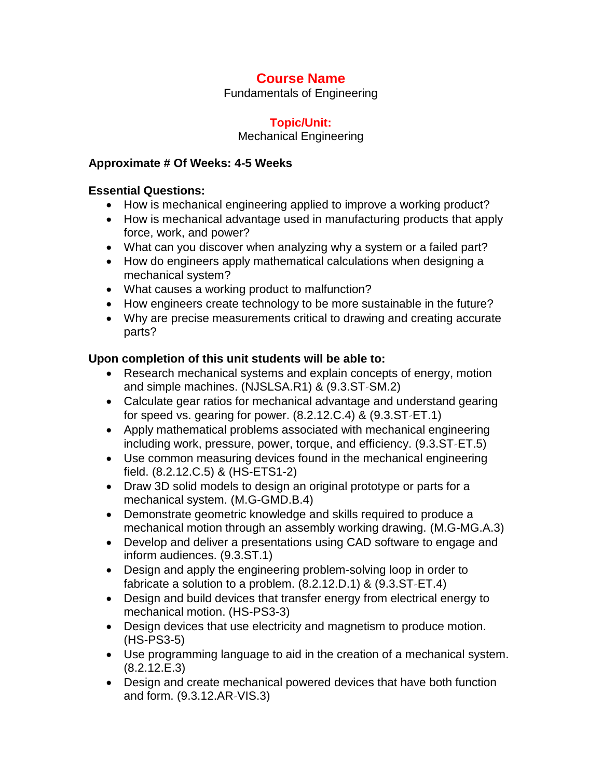Fundamentals of Engineering

# **Topic/Unit:**

Mechanical Engineering

### **Approximate # Of Weeks: 4-5 Weeks**

## **Essential Questions:**

- How is mechanical engineering applied to improve a working product?
- How is mechanical advantage used in manufacturing products that apply force, work, and power?
- What can you discover when analyzing why a system or a failed part?
- How do engineers apply mathematical calculations when designing a mechanical system?
- What causes a working product to malfunction?
- How engineers create technology to be more sustainable in the future?
- Why are precise measurements critical to drawing and creating accurate parts?

# **Upon completion of this unit students will be able to:**

- Research mechanical systems and explain concepts of energy, motion and simple machines. (NJSLSA.R1) & (9.3.ST‐SM.2)
- Calculate gear ratios for mechanical advantage and understand gearing for speed vs. gearing for power. (8.2.12.C.4) & (9.3.ST‐ET.1)
- Apply mathematical problems associated with mechanical engineering including work, pressure, power, torque, and efficiency. (9.3.ST‐ET.5)
- Use common measuring devices found in the mechanical engineering field. (8.2.12.C.5) & (HS-ETS1-2)
- Draw 3D solid models to design an original prototype or parts for a mechanical system. (M.G-GMD.B.4)
- Demonstrate geometric knowledge and skills required to produce a mechanical motion through an assembly working drawing. (M.G-MG.A.3)
- Develop and deliver a presentations using CAD software to engage and inform audiences. (9.3.ST.1)
- Design and apply the engineering problem-solving loop in order to fabricate a solution to a problem. (8.2.12.D.1) & (9.3.ST‐ET.4)
- Design and build devices that transfer energy from electrical energy to mechanical motion. (HS-PS3-3)
- Design devices that use electricity and magnetism to produce motion. (HS-PS3-5)
- Use programming language to aid in the creation of a mechanical system. (8.2.12.E.3)
- Design and create mechanical powered devices that have both function and form. (9.3.12.AR‐VIS.3)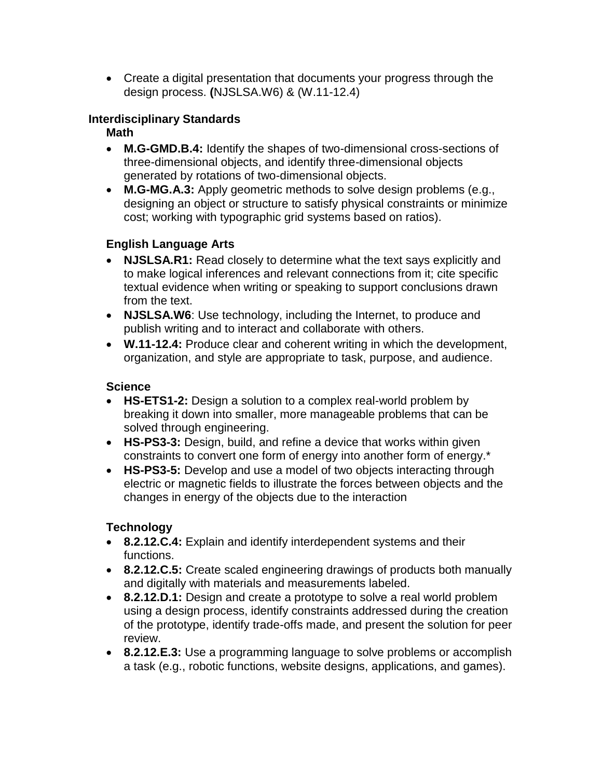Create a digital presentation that documents your progress through the design process. **(**NJSLSA.W6) & (W.11-12.4)

## **Interdisciplinary Standards**

### **Math**

- **M.G-GMD.B.4:** Identify the shapes of two-dimensional cross-sections of three-dimensional objects, and identify three-dimensional objects generated by rotations of two-dimensional objects.
- **M.G-MG.A.3:** Apply geometric methods to solve design problems (e.g., designing an object or structure to satisfy physical constraints or minimize cost; working with typographic grid systems based on ratios).

## **English Language Arts**

- **NJSLSA.R1:** Read closely to determine what the text says explicitly and to make logical inferences and relevant connections from it; cite specific textual evidence when writing or speaking to support conclusions drawn from the text.
- **NJSLSA.W6**: Use technology, including the Internet, to produce and publish writing and to interact and collaborate with others.
- **W.11-12.4:** Produce clear and coherent writing in which the development, organization, and style are appropriate to task, purpose, and audience.

## **Science**

- **HS-ETS1-2:** Design a solution to a complex real-world problem by breaking it down into smaller, more manageable problems that can be solved through engineering.
- **HS-PS3-3:** Design, build, and refine a device that works within given constraints to convert one form of energy into another form of energy.\*
- **HS-PS3-5:** Develop and use a model of two objects interacting through electric or magnetic fields to illustrate the forces between objects and the changes in energy of the objects due to the interaction

# **Technology**

- **8.2.12.C.4:** Explain and identify interdependent systems and their functions.
- **8.2.12.C.5:** Create scaled engineering drawings of products both manually and digitally with materials and measurements labeled.
- **8.2.12.D.1:** Design and create a prototype to solve a real world problem using a design process, identify constraints addressed during the creation of the prototype, identify trade-offs made, and present the solution for peer review.
- **8.2.12.E.3:** Use a programming language to solve problems or accomplish a task (e.g., robotic functions, website designs, applications, and games).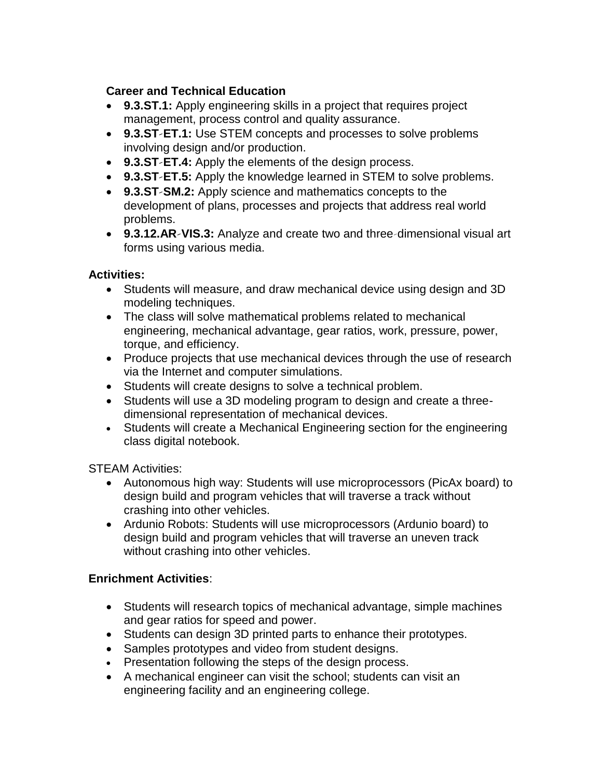## **Career and Technical Education**

- **9.3.ST.1:** Apply engineering skills in a project that requires project management, process control and quality assurance.
- **9.3.ST‐ET.1:** Use STEM concepts and processes to solve problems involving design and/or production.
- **9.3.ST‐ET.4:** Apply the elements of the design process.
- **9.3.ST‐ET.5:** Apply the knowledge learned in STEM to solve problems.
- **9.3.ST‐SM.2:** Apply science and mathematics concepts to the development of plans, processes and projects that address real world problems.
- **9.3.12.AR‐VIS.3:** Analyze and create two and three‐dimensional visual art forms using various media.

### **Activities:**

- Students will measure, and draw mechanical device using design and 3D modeling techniques.
- The class will solve mathematical problems related to mechanical engineering, mechanical advantage, gear ratios, work, pressure, power, torque, and efficiency.
- Produce projects that use mechanical devices through the use of research via the Internet and computer simulations.
- Students will create designs to solve a technical problem.
- Students will use a 3D modeling program to design and create a threedimensional representation of mechanical devices.
- Students will create a Mechanical Engineering section for the engineering class digital notebook.

STEAM Activities:

- Autonomous high way: Students will use microprocessors (PicAx board) to design build and program vehicles that will traverse a track without crashing into other vehicles.
- Ardunio Robots: Students will use microprocessors (Ardunio board) to design build and program vehicles that will traverse an uneven track without crashing into other vehicles.

# **Enrichment Activities**:

- Students will research topics of mechanical advantage, simple machines and gear ratios for speed and power.
- Students can design 3D printed parts to enhance their prototypes.
- Samples prototypes and video from student designs.
- Presentation following the steps of the design process.
- A mechanical engineer can visit the school; students can visit an engineering facility and an engineering college.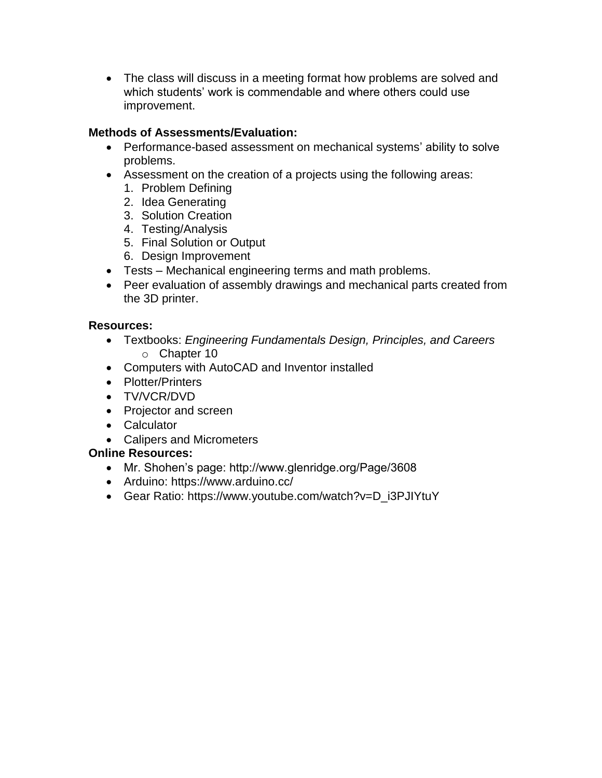• The class will discuss in a meeting format how problems are solved and which students' work is commendable and where others could use improvement.

## **Methods of Assessments/Evaluation:**

- Performance-based assessment on mechanical systems' ability to solve problems.
- Assessment on the creation of a projects using the following areas:
	- 1. Problem Defining
	- 2. Idea Generating
	- 3. Solution Creation
	- 4. Testing/Analysis
	- 5. Final Solution or Output
	- 6. Design Improvement
- Tests Mechanical engineering terms and math problems.
- Peer evaluation of assembly drawings and mechanical parts created from the 3D printer.

### **Resources:**

- Textbooks: *Engineering Fundamentals Design, Principles, and Careers* o Chapter 10
- Computers with AutoCAD and Inventor installed
- Plotter/Printers
- TV/VCR/DVD
- Projector and screen
- Calculator
- Calipers and Micrometers

### **Online Resources:**

- Mr. Shohen's page: http://www.glenridge.org/Page/3608
- Arduino: https://www.arduino.cc/
- Gear Ratio: https://www.youtube.com/watch?v=D\_i3PJIYtuY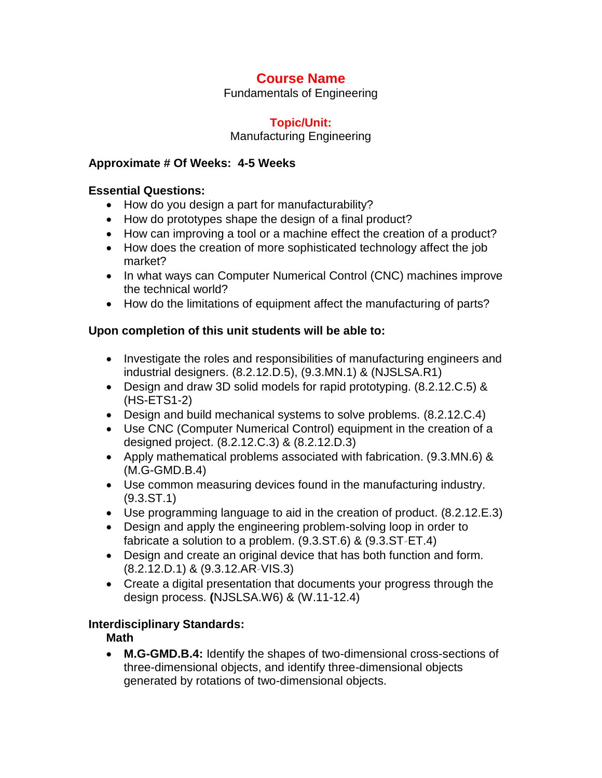Fundamentals of Engineering

#### **Topic/Unit:**

Manufacturing Engineering

#### **Approximate # Of Weeks: 4-5 Weeks**

#### **Essential Questions:**

- How do you design a part for manufacturability?
- How do prototypes shape the design of a final product?
- How can improving a tool or a machine effect the creation of a product?
- How does the creation of more sophisticated technology affect the job market?
- In what ways can Computer Numerical Control (CNC) machines improve the technical world?
- How do the limitations of equipment affect the manufacturing of parts?

#### **Upon completion of this unit students will be able to:**

- Investigate the roles and responsibilities of manufacturing engineers and industrial designers. (8.2.12.D.5), (9.3.MN.1) & (NJSLSA.R1)
- Design and draw 3D solid models for rapid prototyping. (8.2.12.C.5) & (HS-ETS1-2)
- Design and build mechanical systems to solve problems. (8.2.12.C.4)
- Use CNC (Computer Numerical Control) equipment in the creation of a designed project. (8.2.12.C.3) & (8.2.12.D.3)
- Apply mathematical problems associated with fabrication. (9.3.MN.6) & (M.G-GMD.B.4)
- Use common measuring devices found in the manufacturing industry. (9.3.ST.1)
- Use programming language to aid in the creation of product. (8.2.12.E.3)
- Design and apply the engineering problem-solving loop in order to fabricate a solution to a problem. (9.3.ST.6) & (9.3.ST‐ET.4)
- Design and create an original device that has both function and form. (8.2.12.D.1) & (9.3.12.AR‐VIS.3)
- Create a digital presentation that documents your progress through the design process. **(**NJSLSA.W6) & (W.11-12.4)

#### **Interdisciplinary Standards:**

### **Math**

 **M.G-GMD.B.4:** Identify the shapes of two-dimensional cross-sections of three-dimensional objects, and identify three-dimensional objects generated by rotations of two-dimensional objects.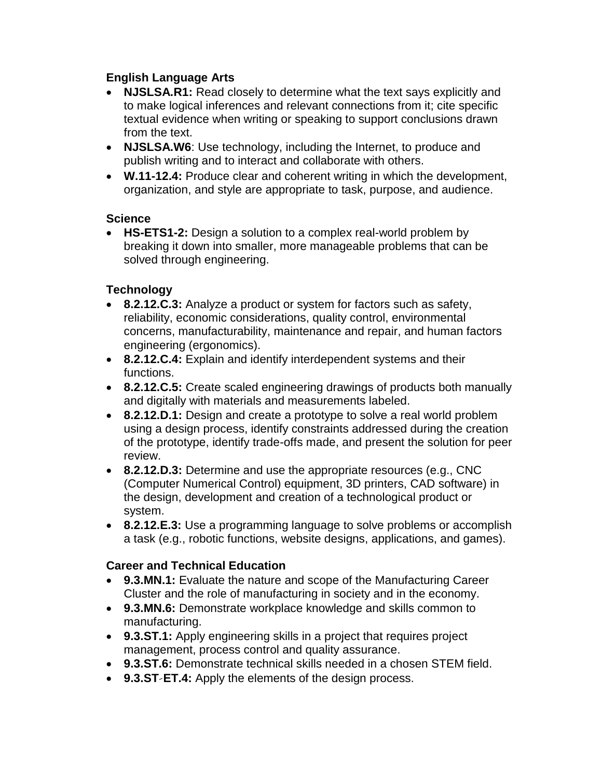## **English Language Arts**

- **NJSLSA.R1:** Read closely to determine what the text says explicitly and to make logical inferences and relevant connections from it; cite specific textual evidence when writing or speaking to support conclusions drawn from the text.
- **NJSLSA.W6**: Use technology, including the Internet, to produce and publish writing and to interact and collaborate with others.
- **W.11-12.4:** Produce clear and coherent writing in which the development, organization, and style are appropriate to task, purpose, and audience.

### **Science**

 **HS-ETS1-2:** Design a solution to a complex real-world problem by breaking it down into smaller, more manageable problems that can be solved through engineering.

# **Technology**

- **8.2.12.C.3:** Analyze a product or system for factors such as safety, reliability, economic considerations, quality control, environmental concerns, manufacturability, maintenance and repair, and human factors engineering (ergonomics).
- **8.2.12.C.4:** Explain and identify interdependent systems and their functions.
- **8.2.12.C.5:** Create scaled engineering drawings of products both manually and digitally with materials and measurements labeled.
- **8.2.12.D.1:** Design and create a prototype to solve a real world problem using a design process, identify constraints addressed during the creation of the prototype, identify trade-offs made, and present the solution for peer review.
- **8.2.12.D.3:** Determine and use the appropriate resources (e.g., CNC (Computer Numerical Control) equipment, 3D printers, CAD software) in the design, development and creation of a technological product or system.
- **8.2.12.E.3:** Use a programming language to solve problems or accomplish a task (e.g., robotic functions, website designs, applications, and games).

# **Career and Technical Education**

- **9.3.MN.1:** Evaluate the nature and scope of the Manufacturing Career Cluster and the role of manufacturing in society and in the economy.
- **9.3.MN.6:** Demonstrate workplace knowledge and skills common to manufacturing.
- **9.3.ST.1:** Apply engineering skills in a project that requires project management, process control and quality assurance.
- **9.3.ST.6:** Demonstrate technical skills needed in a chosen STEM field.
- **9.3.ST‐ET.4:** Apply the elements of the design process.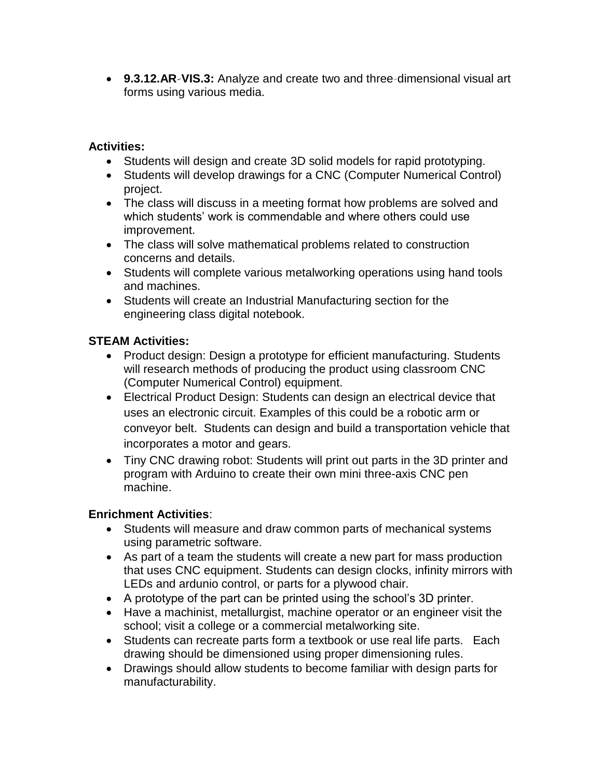**9.3.12.AR‐VIS.3:** Analyze and create two and three‐dimensional visual art forms using various media.

#### **Activities:**

- Students will design and create 3D solid models for rapid prototyping.
- Students will develop drawings for a CNC (Computer Numerical Control) project.
- The class will discuss in a meeting format how problems are solved and which students' work is commendable and where others could use improvement.
- The class will solve mathematical problems related to construction concerns and details.
- Students will complete various metalworking operations using hand tools and machines.
- Students will create an Industrial Manufacturing section for the engineering class digital notebook.

### **STEAM Activities:**

- Product design: Design a prototype for efficient manufacturing. Students will research methods of producing the product using classroom CNC (Computer Numerical Control) equipment.
- Electrical Product Design: Students can design an electrical device that uses an electronic circuit. Examples of this could be a robotic arm or conveyor belt. Students can design and build a transportation vehicle that incorporates a motor and gears.
- Tiny CNC drawing robot: Students will print out parts in the 3D printer and program with Arduino to create their own mini three-axis CNC pen machine.

# **Enrichment Activities**:

- Students will measure and draw common parts of mechanical systems using parametric software.
- As part of a team the students will create a new part for mass production that uses CNC equipment. Students can design clocks, infinity mirrors with LEDs and ardunio control, or parts for a plywood chair.
- A prototype of the part can be printed using the school's 3D printer.
- Have a machinist, metallurgist, machine operator or an engineer visit the school; visit a college or a commercial metalworking site.
- Students can recreate parts form a textbook or use real life parts. Each drawing should be dimensioned using proper dimensioning rules.
- Drawings should allow students to become familiar with design parts for manufacturability.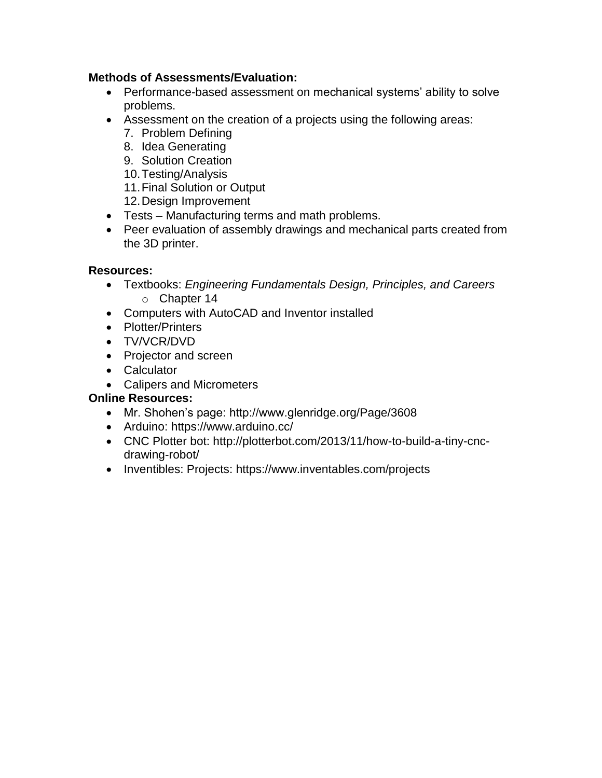#### **Methods of Assessments/Evaluation:**

- Performance-based assessment on mechanical systems' ability to solve problems.
- Assessment on the creation of a projects using the following areas:
	- 7. Problem Defining
	- 8. Idea Generating
	- 9. Solution Creation
	- 10.Testing/Analysis
	- 11.Final Solution or Output
	- 12.Design Improvement
- Tests Manufacturing terms and math problems.
- Peer evaluation of assembly drawings and mechanical parts created from the 3D printer.

#### **Resources:**

- Textbooks: *Engineering Fundamentals Design, Principles, and Careers* o Chapter 14
- Computers with AutoCAD and Inventor installed
- Plotter/Printers
- TV/VCR/DVD
- Projector and screen
- Calculator
- Calipers and Micrometers

### **Online Resources:**

- Mr. Shohen's page: http://www.glenridge.org/Page/3608
- Arduino: https://www.arduino.cc/
- CNC Plotter bot: http://plotterbot.com/2013/11/how-to-build-a-tiny-cncdrawing-robot/
- Inventibles: Projects: https://www.inventables.com/projects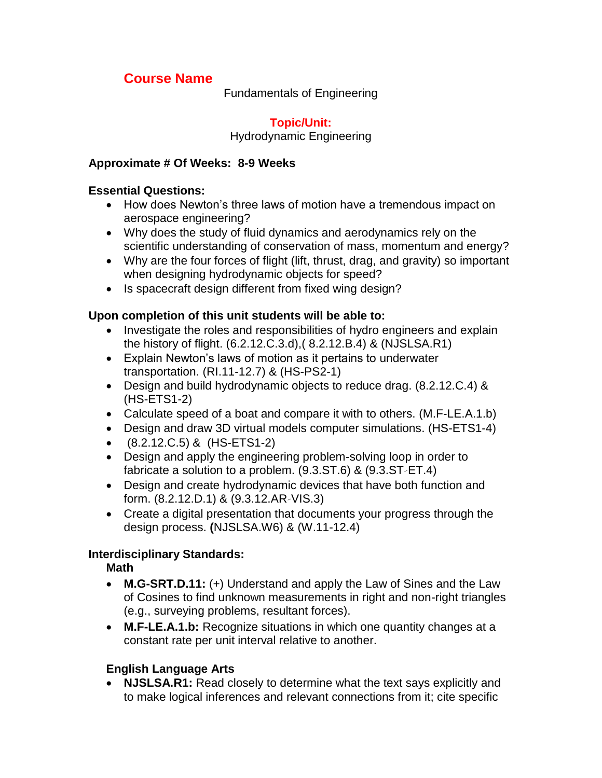Fundamentals of Engineering

## **Topic/Unit:**

Hydrodynamic Engineering

### **Approximate # Of Weeks: 8-9 Weeks**

#### **Essential Questions:**

- How does Newton's three laws of motion have a tremendous impact on aerospace engineering?
- Why does the study of fluid dynamics and aerodynamics rely on the scientific understanding of conservation of mass, momentum and energy?
- Why are the four forces of flight (lift, thrust, drag, and gravity) so important when designing hydrodynamic objects for speed?
- Is spacecraft design different from fixed wing design?

### **Upon completion of this unit students will be able to:**

- Investigate the roles and responsibilities of hydro engineers and explain the history of flight. (6.2.12.C.3.d),( 8.2.12.B.4) & (NJSLSA.R1)
- Explain Newton's laws of motion as it pertains to underwater transportation. (RI.11-12.7) & (HS-PS2-1)
- Design and build hydrodynamic objects to reduce drag. (8.2.12.C.4) & (HS-ETS1-2)
- Calculate speed of a boat and compare it with to others. (M.F-LE.A.1.b)
- Design and draw 3D virtual models computer simulations. (HS-ETS1-4)
- (8.2.12.C.5) & (HS-ETS1-2)
- Design and apply the engineering problem-solving loop in order to fabricate a solution to a problem. (9.3.ST.6) & (9.3.ST‐ET.4)
- Design and create hydrodynamic devices that have both function and form. (8.2.12.D.1) & (9.3.12.AR‐VIS.3)
- Create a digital presentation that documents your progress through the design process. **(**NJSLSA.W6) & (W.11-12.4)

### **Interdisciplinary Standards:**

# **Math**

- **M.G-SRT.D.11:** (+) Understand and apply the Law of Sines and the Law of Cosines to find unknown measurements in right and non-right triangles (e.g., surveying problems, resultant forces).
- **M.F-LE.A.1.b:** Recognize situations in which one quantity changes at a constant rate per unit interval relative to another.

# **English Language Arts**

 **NJSLSA.R1:** Read closely to determine what the text says explicitly and to make logical inferences and relevant connections from it; cite specific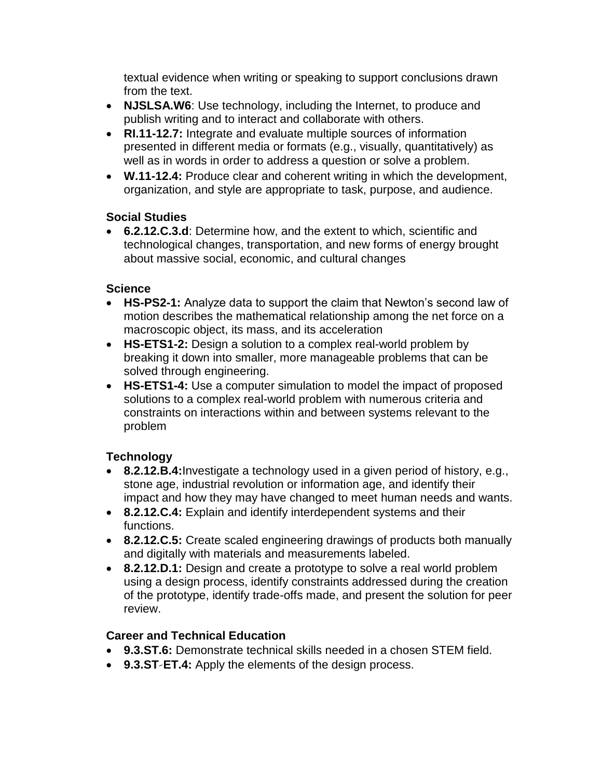textual evidence when writing or speaking to support conclusions drawn from the text.

- **NJSLSA.W6**: Use technology, including the Internet, to produce and publish writing and to interact and collaborate with others.
- **RI.11-12.7:** Integrate and evaluate multiple sources of information presented in different media or formats (e.g., visually, quantitatively) as well as in words in order to address a question or solve a problem.
- **W.11-12.4:** Produce clear and coherent writing in which the development, organization, and style are appropriate to task, purpose, and audience.

### **Social Studies**

 **6.2.12.C.3.d**: Determine how, and the extent to which, scientific and technological changes, transportation, and new forms of energy brought about massive social, economic, and cultural changes

## **Science**

- **HS-PS2-1:** Analyze data to support the claim that Newton's second law of motion describes the mathematical relationship among the net force on a macroscopic object, its mass, and its acceleration
- HS-ETS1-2: Design a solution to a complex real-world problem by breaking it down into smaller, more manageable problems that can be solved through engineering.
- **HS-ETS1-4:** Use a computer simulation to model the impact of proposed solutions to a complex real-world problem with numerous criteria and constraints on interactions within and between systems relevant to the problem

# **Technology**

- **8.2.12.B.4:**Investigate a technology used in a given period of history, e.g., stone age, industrial revolution or information age, and identify their impact and how they may have changed to meet human needs and wants.
- **8.2.12.C.4:** Explain and identify interdependent systems and their functions.
- **8.2.12.C.5:** Create scaled engineering drawings of products both manually and digitally with materials and measurements labeled.
- **8.2.12.D.1:** Design and create a prototype to solve a real world problem using a design process, identify constraints addressed during the creation of the prototype, identify trade-offs made, and present the solution for peer review.

# **Career and Technical Education**

- **9.3.ST.6:** Demonstrate technical skills needed in a chosen STEM field.
- **9.3.ST‐ET.4:** Apply the elements of the design process.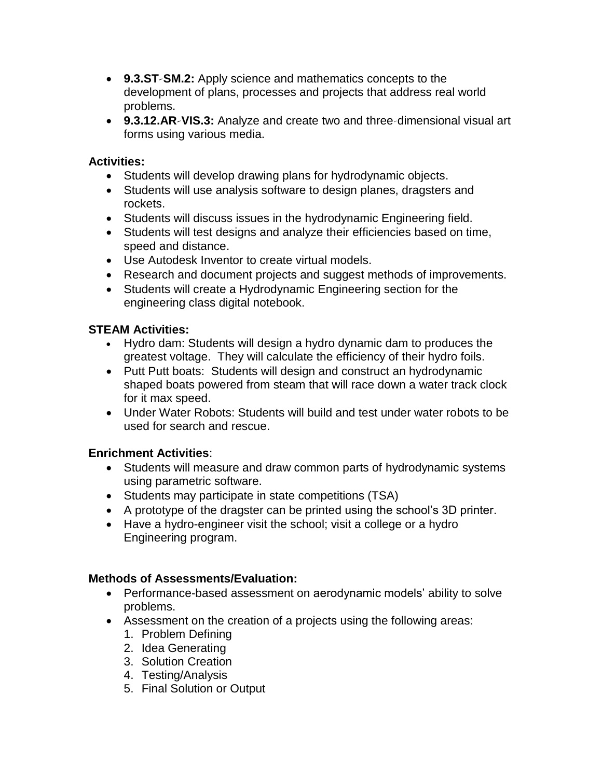- **9.3.ST‐SM.2:** Apply science and mathematics concepts to the development of plans, processes and projects that address real world problems.
- **9.3.12.AR‐VIS.3:** Analyze and create two and three‐dimensional visual art forms using various media.

#### **Activities:**

- Students will develop drawing plans for hydrodynamic objects.
- Students will use analysis software to design planes, dragsters and rockets.
- Students will discuss issues in the hydrodynamic Engineering field.
- Students will test designs and analyze their efficiencies based on time, speed and distance.
- Use Autodesk Inventor to create virtual models.
- Research and document projects and suggest methods of improvements.
- Students will create a Hydrodynamic Engineering section for the engineering class digital notebook.

#### **STEAM Activities:**

- Hydro dam: Students will design a hydro dynamic dam to produces the greatest voltage. They will calculate the efficiency of their hydro foils.
- Putt Putt boats: Students will design and construct an hydrodynamic shaped boats powered from steam that will race down a water track clock for it max speed.
- Under Water Robots: Students will build and test under water robots to be used for search and rescue.

### **Enrichment Activities**:

- Students will measure and draw common parts of hydrodynamic systems using parametric software.
- Students may participate in state competitions (TSA)
- A prototype of the dragster can be printed using the school's 3D printer.
- Have a hydro-engineer visit the school; visit a college or a hydro Engineering program.

#### **Methods of Assessments/Evaluation:**

- Performance-based assessment on aerodynamic models' ability to solve problems.
- Assessment on the creation of a projects using the following areas:
	- 1. Problem Defining
	- 2. Idea Generating
	- 3. Solution Creation
	- 4. Testing/Analysis
	- 5. Final Solution or Output